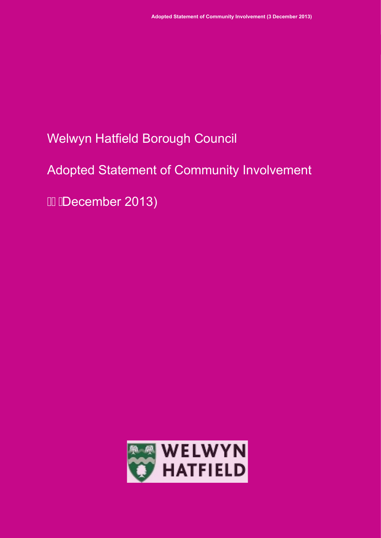# Welwyn Hatfield Borough Council

# Adopted Statement of Community Involvement

GHDecember 2013)

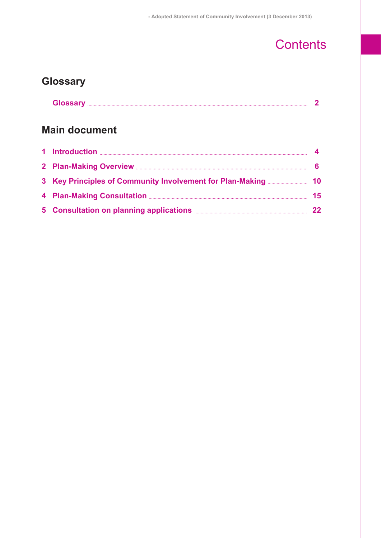# **Contents**

### **Glossary**

| Glossary<br><u>sivuun</u> |  |
|---------------------------|--|
|---------------------------|--|

### **Main document**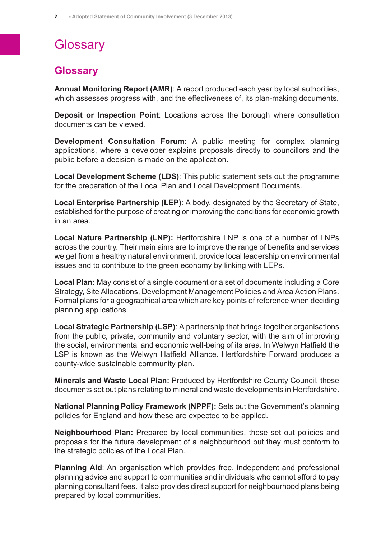# **Glossary**

### <span id="page-2-0"></span>**Glossary**

**Annual Monitoring Report (AMR)**: A report produced each year by local authorities, which assesses progress with, and the effectiveness of, its plan-making documents.

**Deposit or Inspection Point**: Locations across the borough where consultation documents can be viewed.

**Development Consultation Forum**: A public meeting for complex planning applications, where a developer explains proposals directly to councillors and the public before a decision is made on the application.

**Local Development Scheme (LDS)**: This public statement sets out the programme for the preparation of the Local Plan and Local Development Documents.

**Local Enterprise Partnership (LEP)**: A body, designated by the Secretary of State, established for the purpose of creating or improving the conditions for economic growth in an area.

**Local Nature Partnership (LNP):** Hertfordshire LNP is one of a number of LNPs across the country. Their main aims are to improve the range of benefits and services we get from a healthy natural environment, provide local leadership on environmental issues and to contribute to the green economy by linking with LEPs.

**Local Plan:** May consist of a single document or a set of documents including a Core Strategy, Site Allocations, Development Management Policies and Area Action Plans. Formal plans for a geographical area which are key points of reference when deciding planning applications.

**Local Strategic Partnership (LSP)**: A partnership that brings together organisations from the public, private, community and voluntary sector, with the aim of improving the social, environmental and economic well-being of its area. In Welwyn Hatfield the LSP is known as the Welwyn Hatfield Alliance. Hertfordshire Forward produces a county-wide sustainable community plan.

**Minerals and Waste Local Plan:** Produced by Hertfordshire County Council, these documents set out plans relating to mineral and waste developments in Hertfordshire.

**National Planning Policy Framework (NPPF):** Sets out the Government's planning policies for England and how these are expected to be applied.

**Neighbourhood Plan:** Prepared by local communities, these set out policies and proposals for the future development of a neighbourhood but they must conform to the strategic policies of the Local Plan.

**Planning Aid**: An organisation which provides free, independent and professional planning advice and support to communities and individuals who cannot afford to pay planning consultant fees. It also provides direct support for neighbourhood plans being prepared by local communities.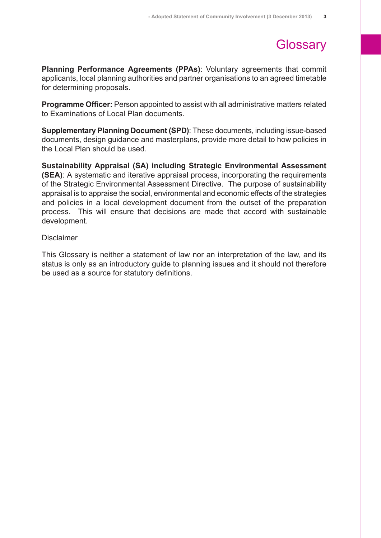# **Glossary**

**Planning Performance Agreements (PPAs)**: Voluntary agreements that commit applicants, local planning authorities and partner organisations to an agreed timetable for determining proposals.

**Programme Officer:** Person appointed to assist with all administrative matters related to Examinations of Local Plan documents.

**Supplementary Planning Document (SPD)**: These documents, including issue-based documents, design guidance and masterplans, provide more detail to how policies in the Local Plan should be used.

**Sustainability Appraisal (SA) including Strategic Environmental Assessment (SEA)**: A systematic and iterative appraisal process, incorporating the requirements of the Strategic Environmental Assessment Directive. The purpose of sustainability appraisal is to appraise the social, environmental and economic effects of the strategies and policies in a local development document from the outset of the preparation process. This will ensure that decisions are made that accord with sustainable development.

#### Disclaimer

This Glossary is neither a statement of law nor an interpretation of the law, and its status is only as an introductory guide to planning issues and it should not therefore be used as a source for statutory definitions.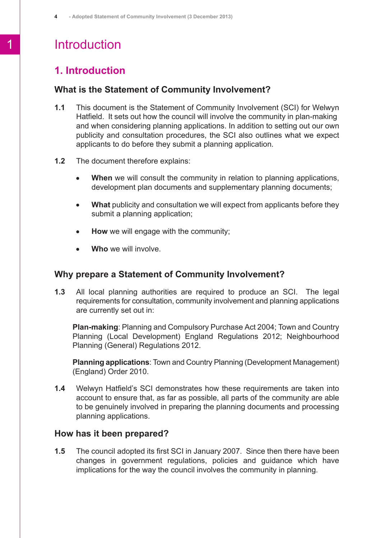## 1 Introduction

### <span id="page-4-0"></span>**1. Introduction**

#### **What is the Statement of Community Involvement?**

- **1.1** This document is the Statement of Community Involvement (SCI) for Welwyn Hatfield. It sets out how the council will involve the community in plan-making and when considering planning applications. In addition to setting out our own publicity and consultation procedures, the SCI also outlines what we expect applicants to do before they submit a planning application.
- **1.2** The document therefore explains:
	- **When** we will consult the community in relation to planning applications,  $\bullet$ development plan documents and supplementary planning documents;
	- **What** publicity and consultation we will expect from applicants before they  $\bullet$ submit a planning application;
	- **How** we will engage with the community;  $\bullet$
	- **Who** we will involve.

#### **Why prepare a Statement of Community Involvement?**

**1.3** All local planning authorities are required to produce an SCI. The legal requirements for consultation, community involvement and planning applications are currently set out in:

**Plan-making**: Planning and Compulsory Purchase Act 2004; Town and Country Planning (Local Development) England Regulations 2012; Neighbourhood Planning (General) Regulations 2012.

**Planning applications**: Town and Country Planning (Development Management) (England) Order 2010.

**1.4** Welwyn Hatfield's SCI demonstrates how these requirements are taken into account to ensure that, as far as possible, all parts of the community are able to be genuinely involved in preparing the planning documents and processing planning applications.

#### **How has it been prepared?**

**1.5** The council adopted its first SCI in January 2007. Since then there have been changes in government regulations, policies and guidance which have implications for the way the council involves the community in planning.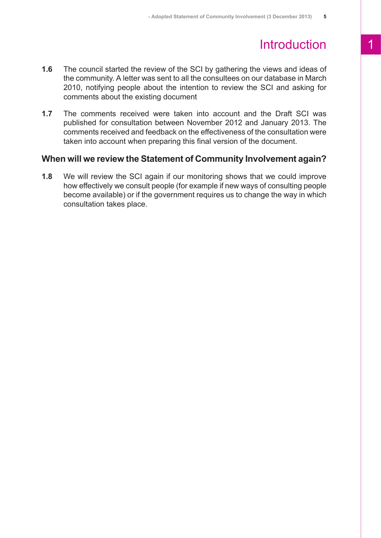## Introduction 1

- **1.6** The council started the review of the SCI by gathering the views and ideas of the community. A letter was sent to all the consultees on our database in March 2010, notifying people about the intention to review the SCI and asking for comments about the existing document
- **1.7** The comments received were taken into account and the Draft SCI was published for consultation between November 2012 and January 2013. The comments received and feedback on the effectiveness of the consultation were taken into account when preparing this final version of the document.

#### **When will we review the Statement of Community Involvement again?**

**1.8** We will review the SCI again if our monitoring shows that we could improve how effectively we consult people (for example if new ways of consulting people become available) or if the government requires us to change the way in which consultation takes place.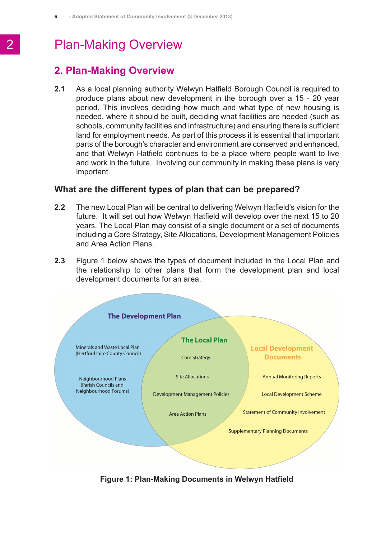### <span id="page-6-0"></span>**2. Plan-Making Overview**

**2.1** As a local planning authority Welwyn Hatfield Borough Council is required to produce plans about new development in the borough over a 15 - 20 year period. This involves deciding how much and what type of new housing is needed, where it should be built, deciding what facilities are needed (such as schools, community facilities and infrastructure) and ensuring there is sufficient land for employment needs. As part of this process it is essential that important parts of the borough's character and environment are conserved and enhanced, and that Welwyn Hatfield continues to be a place where people want to live and work in the future. Involving our community in making these plans is very important.

#### **What are the different types of plan that can be prepared?**

- **2.2** The new Local Plan will be central to delivering Welwyn Hatfield's vision for the future. It will set out how Welwyn Hatfield will develop over the next 15 to 20 years. The Local Plan may consist of a single document or a set of documents including a Core Strategy, Site Allocations, Development Management Policies and Area Action Plans.
- **2.3** Figure 1 below shows the types of document included in the Local Plan and the relationship to other plans that form the development plan and local development documents for an area.



**Figure 1: Plan-Making Documents in Welwyn Hatfield**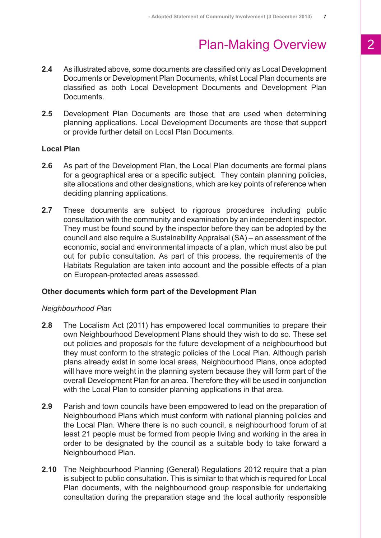- **2.4** As illustrated above, some documents are classified only as Local Development Documents or Development Plan Documents, whilst Local Plan documents are classified as both Local Development Documents and Development Plan **Documents**
- **2.5** Development Plan Documents are those that are used when determining planning applications. Local Development Documents are those that support or provide further detail on Local Plan Documents.

#### **Local Plan**

- **2.6** As part of the Development Plan, the Local Plan documents are formal plans for a geographical area or a specific subject. They contain planning policies, site allocations and other designations, which are key points of reference when deciding planning applications.
- **2.7** These documents are subject to rigorous procedures including public consultation with the community and examination by an independent inspector. They must be found sound by the inspector before they can be adopted by the council and also require a Sustainability Appraisal (SA) – an assessment of the economic, social and environmental impacts of a plan, which must also be put out for public consultation. As part of this process, the requirements of the Habitats Regulation are taken into account and the possible effects of a plan on European-protected areas assessed.

#### **Other documents which form part of the Development Plan**

#### *Neighbourhood Plan*

- **2.8** The Localism Act (2011) has empowered local communities to prepare their own Neighbourhood Development Plans should they wish to do so. These set out policies and proposals for the future development of a neighbourhood but they must conform to the strategic policies of the Local Plan. Although parish plans already exist in some local areas, Neighbourhood Plans, once adopted will have more weight in the planning system because they will form part of the overall Development Plan for an area. Therefore they will be used in conjunction with the Local Plan to consider planning applications in that area.
- **2.9** Parish and town councils have been empowered to lead on the preparation of Neighbourhood Plans which must conform with national planning policies and the Local Plan. Where there is no such council, a neighbourhood forum of at least 21 people must be formed from people living and working in the area in order to be designated by the council as a suitable body to take forward a Neighbourhood Plan.
- **2.10** The Neighbourhood Planning (General) Regulations 2012 require that a plan is subject to public consultation. This is similar to that which is required for Local Plan documents, with the neighbourhood group responsible for undertaking consultation during the preparation stage and the local authority responsible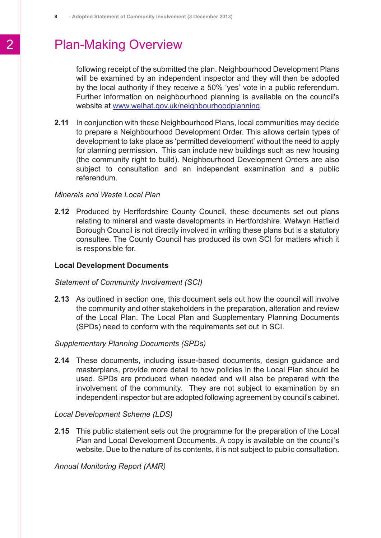following receipt of the submitted the plan. Neighbourhood Development Plans will be examined by an independent inspector and they will then be adopted by the local authority if they receive a 50% 'yes' vote in a public referendum. Further information on neighbourhood planning is available on the council's website at [www.welhat.gov.uk/neighbourhoodplanning](http://www.welhat.gov.uk/neighbourhoodplanning).

**2.11** In conjunction with these Neighbourhood Plans, local communities may decide to prepare a Neighbourhood Development Order. This allows certain types of development to take place as 'permitted development' without the need to apply for planning permission. This can include new buildings such as new housing (the community right to build). Neighbourhood Development Orders are also subject to consultation and an independent examination and a public referendum.

#### *Minerals and Waste Local Plan*

**2.12** Produced by Hertfordshire County Council, these documents set out plans relating to mineral and waste developments in Hertfordshire. Welwyn Hatfield Borough Council is not directly involved in writing these plans but is a statutory consultee. The County Council has produced its own SCI for matters which it is responsible for.

#### **Local Development Documents**

#### *Statement of Community Involvement (SCI)*

**2.13** As outlined in section one, this document sets out how the council will involve the community and other stakeholders in the preparation, alteration and review of the Local Plan. The Local Plan and Supplementary Planning Documents (SPDs) need to conform with the requirements set out in SCI.

#### *Supplementary Planning Documents (SPDs)*

**2.14** These documents, including issue-based documents, design guidance and masterplans, provide more detail to how policies in the Local Plan should be used. SPDs are produced when needed and will also be prepared with the involvement of the community. They are not subject to examination by an independent inspector but are adopted following agreement by council's cabinet.

#### *Local Development Scheme (LDS)*

**2.15** This public statement sets out the programme for the preparation of the Local Plan and Local Development Documents. A copy is available on the council's website. Due to the nature of its contents, it is not subject to public consultation.

#### *Annual Monitoring Report (AMR)*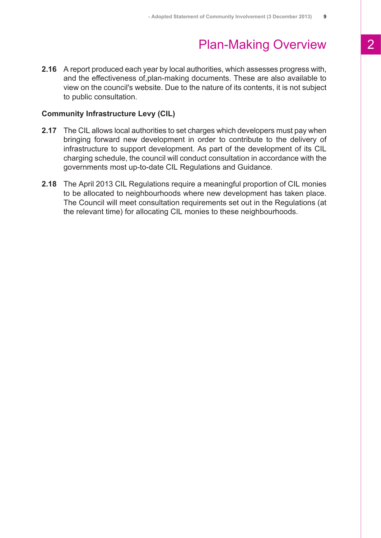**2.16** A report produced each year by local authorities, which assesses progress with, and the effectiveness of,plan-making documents. These are also available to view on the council's website. Due to the nature of its contents, it is not subject to public consultation.

#### **Community Infrastructure Levy (CIL)**

- **2.17** The CIL allows local authorities to set charges which developers must pay when bringing forward new development in order to contribute to the delivery of infrastructure to support development. As part of the development of its CIL charging schedule, the council will conduct consultation in accordance with the governments most up-to-date CIL Regulations and Guidance.
- **2.18** The April 2013 CIL Regulations require a meaningful proportion of CIL monies to be allocated to neighbourhoods where new development has taken place. The Council will meet consultation requirements set out in the Regulations (at the relevant time) for allocating CIL monies to these neighbourhoods.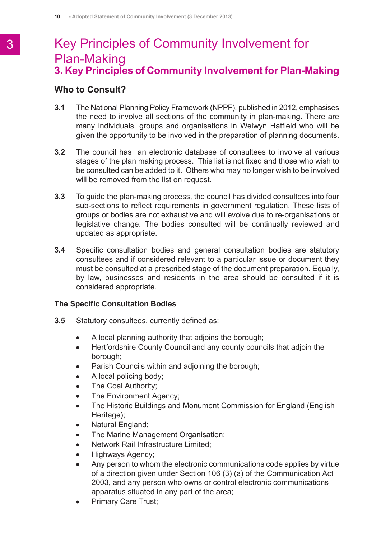### <span id="page-10-0"></span>**3. Key Principles of Community Involvement for Plan-Making** Key Principles of Community Involvement for Plan-Making

#### **Who to Consult?**

- **3.1** The National Planning Policy Framework (NPPF), published in 2012, emphasises the need to involve all sections of the community in plan-making. There are many individuals, groups and organisations in Welwyn Hatfield who will be given the opportunity to be involved in the preparation of planning documents.
- **3.2** The council has an electronic database of consultees to involve at various stages of the plan making process. This list is not fixed and those who wish to be consulted can be added to it. Others who may no longer wish to be involved will be removed from the list on request.
- **3.3** To guide the plan-making process, the council has divided consultees into four sub-sections to reflect requirements in government regulation. These lists of groups or bodies are not exhaustive and will evolve due to re-organisations or legislative change. The bodies consulted will be continually reviewed and updated as appropriate.
- **3.4** Specific consultation bodies and general consultation bodies are statutory consultees and if considered relevant to a particular issue or document they must be consulted at a prescribed stage of the document preparation. Equally, by law, businesses and residents in the area should be consulted if it is considered appropriate.

#### **The Specific Consultation Bodies**

- **3.5** Statutory consultees, currently defined as:
	- A local planning authority that adjoins the borough;  $\bullet$
	- Hertfordshire County Council and any county councils that adjoin the  $\bullet$ borough;
	- Parish Councils within and adjoining the borough;  $\bullet$
	- A local policing body;  $\bullet$
	- The Coal Authority;  $\bullet$
	- The Environment Agency;  $\bullet$
	- The Historic Buildings and Monument Commission for England (English  $\bullet$ Heritage);
	- Natural England;
	- The Marine Management Organisation;  $\bullet$
	- Network Rail Infrastructure Limited;  $\bullet$
	- Highways Agency;  $\bullet$
	- Any person to whom the electronic communications code applies by virtue  $\bullet$ of a direction given under Section 106 (3) (a) of the Communication Act 2003, and any person who owns or control electronic communications apparatus situated in any part of the area;
	- Primary Care Trust;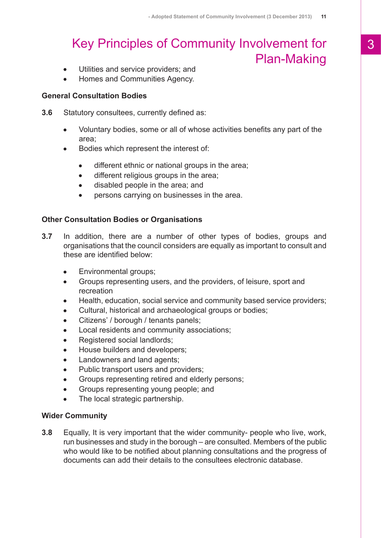## Key Principles of Community Involvement for Plan-Making

- Utilities and service providers; and  $\bullet$
- Homes and Communities Agency.

#### **General Consultation Bodies**

- **3.6** Statutory consultees, currently defined as:
	- Voluntary bodies, some or all of whose activities benefits any part of the  $\bullet$ area;
	- Bodies which represent the interest of:
		- different ethnic or national groups in the area;  $\bullet$
		- different religious groups in the area;  $\bullet$
		- $\bullet$ disabled people in the area; and
		- persons carrying on businesses in the area.  $\bullet$

#### **Other Consultation Bodies or Organisations**

- **3.7** In addition, there are a number of other types of bodies, groups and organisations that the council considers are equally as important to consult and these are identified below:
	- Environmental groups;
	- Groups representing users, and the providers, of leisure, sport and recreation
	- Health, education, social service and community based service providers;
	- Cultural, historical and archaeological groups or bodies;
	- Citizens' / borough / tenants panels;
	- Local residents and community associations;
	- Registered social landlords;
	- House builders and developers;
	- Landowners and land agents;
	- Public transport users and providers;
	- Groups representing retired and elderly persons;  $\bullet$
	- Groups representing young people; and
	- The local strategic partnership.  $\bullet$

#### **Wider Community**

**3.8** Equally, It is very important that the wider community- people who live, work, run businesses and study in the borough – are consulted. Members of the public who would like to be notified about planning consultations and the progress of documents can add their details to the consultees electronic database.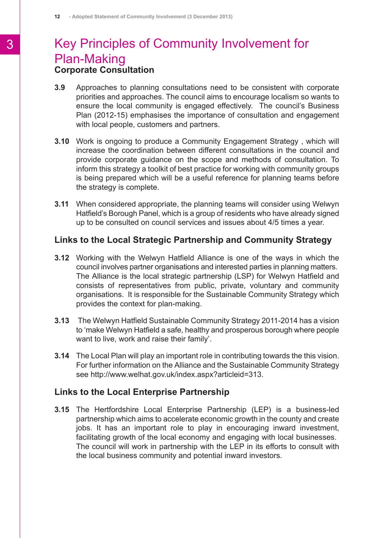### **Corporate Consultation** Key Principles of Community Involvement for Plan-Making

- **3.9** Approaches to planning consultations need to be consistent with corporate priorities and approaches. The council aims to encourage localism so wants to ensure the local community is engaged effectively. The council's Business Plan (2012-15) emphasises the importance of consultation and engagement with local people, customers and partners.
- **3.10** Work is ongoing to produce a Community Engagement Strategy , which will increase the coordination between different consultations in the council and provide corporate guidance on the scope and methods of consultation. To inform this strategy a toolkit of best practice for working with community groups is being prepared which will be a useful reference for planning teams before the strategy is complete.
- **3.11** When considered appropriate, the planning teams will consider using Welwyn Hatfield's Borough Panel, which is a group of residents who have already signed up to be consulted on council services and issues about 4/5 times a year.

#### **Links to the Local Strategic Partnership and Community Strategy**

- **3.12** Working with the Welwyn Hatfield Alliance is one of the ways in which the council involves partner organisations and interested parties in planning matters. The Alliance is the local strategic partnership (LSP) for Welwyn Hatfield and consists of representatives from public, private, voluntary and community organisations. It is responsible for the Sustainable Community Strategy which provides the context for plan-making.
- **3.13** The Welwyn Hatfield Sustainable Community Strategy 2011-2014 has a vision to 'make Welwyn Hatfield a safe, healthy and prosperous borough where people want to live, work and raise their family'.
- **3.14** The Local Plan will play an important role in contributing towards the this vision. For further information on the Alliance and the Sustainable Community Strategy see http://www.welhat.gov.uk/index.aspx?articleid=313.

#### **Links to the Local Enterprise Partnership**

**3.15** The Hertfordshire Local Enterprise Partnership (LEP) is a business-led partnership which aims to accelerate economic growth in the county and create jobs. It has an important role to play in encouraging inward investment, facilitating growth of the local economy and engaging with local businesses. The council will work in partnership with the LEP in its efforts to consult with the local business community and potential inward investors.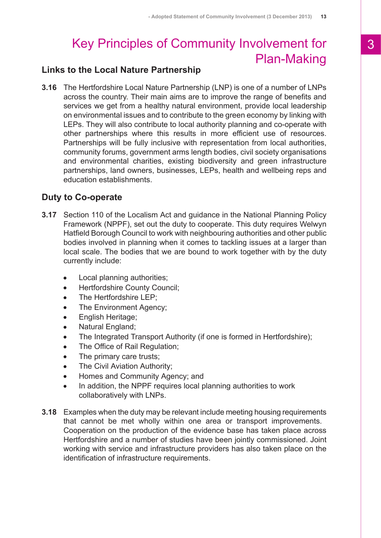# Key Principles of Community Involvement for Plan-Making

### **Links to the Local Nature Partnership**

**3.16** The Hertfordshire Local Nature Partnership (LNP) is one of a number of LNPs across the country. Their main aims are to improve the range of benefits and services we get from a healthy natural environment, provide local leadership on environmental issues and to contribute to the green economy by linking with LEPs. They will also contribute to local authority planning and co-operate with other partnerships where this results in more efficient use of resources. Partnerships will be fully inclusive with representation from local authorities, community forums, government arms length bodies, civil society organisations and environmental charities, existing biodiversity and green infrastructure partnerships, land owners, businesses, LEPs, health and wellbeing reps and education establishments.

### **Duty to Co-operate**

- **3.17** Section 110 of the Localism Act and guidance in the National Planning Policy Framework (NPPF), set out the duty to cooperate. This duty requires Welwyn Hatfield Borough Council to work with neighbouring authorities and other public bodies involved in planning when it comes to tackling issues at a larger than local scale. The bodies that we are bound to work together with by the duty currently include:
	- Local planning authorities;  $\bullet$
	- Hertfordshire County Council;
	- The Hertfordshire LEP;
	- The Environment Agency;
	- English Heritage;
	- Natural England;
	- The Integrated Transport Authority (if one is formed in Hertfordshire);
	- The Office of Rail Regulation;  $\bullet$
	- The primary care trusts;
	- The Civil Aviation Authority;
	- Homes and Community Agency; and  $\bullet$
	- In addition, the NPPF requires local planning authorities to work  $\bullet$ collaboratively with LNPs.
- **3.18** Examples when the duty may be relevant include meeting housing requirements that cannot be met wholly within one area or transport improvements. Cooperation on the production of the evidence base has taken place across Hertfordshire and a number of studies have been jointly commissioned. Joint working with service and infrastructure providers has also taken place on the identification of infrastructure requirements.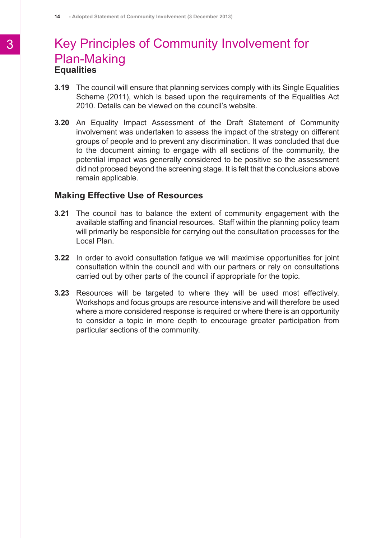### **Equalities** Key Principles of Community Involvement for Plan-Making

- **3.19** The council will ensure that planning services comply with its Single Equalities Scheme (2011), which is based upon the requirements of the Equalities Act 2010. Details can be viewed on the council's website.
- **3.20** An Equality Impact Assessment of the Draft Statement of Community involvement was undertaken to assess the impact of the strategy on different groups of people and to prevent any discrimination. It was concluded that due to the document aiming to engage with all sections of the community, the potential impact was generally considered to be positive so the assessment did not proceed beyond the screening stage. It is felt that the conclusions above remain applicable.

#### **Making Effective Use of Resources**

- **3.21** The council has to balance the extent of community engagement with the available staffing and financial resources. Staff within the planning policy team will primarily be responsible for carrying out the consultation processes for the Local Plan.
- **3.22** In order to avoid consultation fatigue we will maximise opportunities for joint consultation within the council and with our partners or rely on consultations carried out by other parts of the council if appropriate for the topic.
- **3.23** Resources will be targeted to where they will be used most effectively. Workshops and focus groups are resource intensive and will therefore be used where a more considered response is required or where there is an opportunity to consider a topic in more depth to encourage greater participation from particular sections of the community.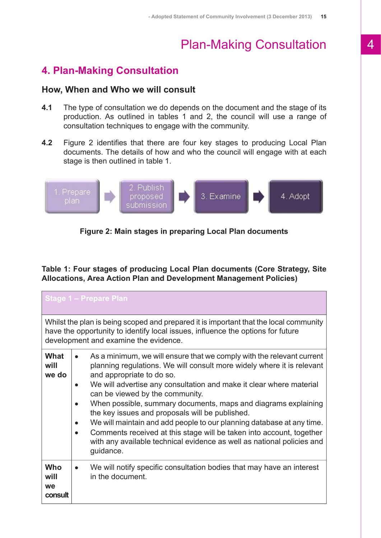### <span id="page-15-0"></span>**4. Plan-Making Consultation**

#### **How, When and Who we will consult**

- **4.1** The type of consultation we do depends on the document and the stage of its production. As outlined in tables 1 and 2, the council will use a range of consultation techniques to engage with the community.
- **4.2** Figure 2 identifies that there are four key stages to producing Local Plan documents. The details of how and who the council will engage with at each stage is then outlined in table 1.



#### **Figure 2: Main stages in preparing Local Plan documents**

**Table 1: Four stages of producing Local Plan documents (Core Strategy, Site Allocations, Area Action Plan and Development Management Policies)**

| <b>Stage 1 - Prepare Plan</b>                                                                                                                                                                                     |                        |                                                                                                                                                                                                                                                                                                                                                                                                                                                                                                                                                                                                                                                     |  |  |  |
|-------------------------------------------------------------------------------------------------------------------------------------------------------------------------------------------------------------------|------------------------|-----------------------------------------------------------------------------------------------------------------------------------------------------------------------------------------------------------------------------------------------------------------------------------------------------------------------------------------------------------------------------------------------------------------------------------------------------------------------------------------------------------------------------------------------------------------------------------------------------------------------------------------------------|--|--|--|
| Whilst the plan is being scoped and prepared it is important that the local community<br>have the opportunity to identify local issues, influence the options for future<br>development and examine the evidence. |                        |                                                                                                                                                                                                                                                                                                                                                                                                                                                                                                                                                                                                                                                     |  |  |  |
| What<br>will<br>we do                                                                                                                                                                                             | $\bullet$<br>$\bullet$ | As a minimum, we will ensure that we comply with the relevant current<br>planning regulations. We will consult more widely where it is relevant<br>and appropriate to do so.<br>We will advertise any consultation and make it clear where material<br>can be viewed by the community.<br>When possible, summary documents, maps and diagrams explaining<br>the key issues and proposals will be published.<br>We will maintain and add people to our planning database at any time.<br>Comments received at this stage will be taken into account, together<br>with any available technical evidence as well as national policies and<br>guidance. |  |  |  |
| <b>Who</b><br>will<br>we<br>consult                                                                                                                                                                               | $\bullet$              | We will notify specific consultation bodies that may have an interest<br>in the document.                                                                                                                                                                                                                                                                                                                                                                                                                                                                                                                                                           |  |  |  |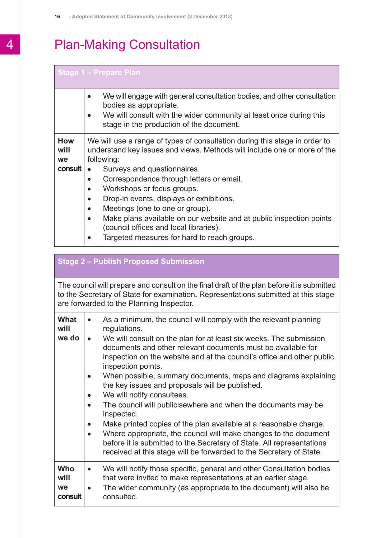#### **Stage 1 – Prepare Plan**

|                          | We will engage with general consultation bodies, and other consultation<br>$\bullet$<br>bodies as appropriate.                                                       |
|--------------------------|----------------------------------------------------------------------------------------------------------------------------------------------------------------------|
|                          | We will consult with the wider community at least once during this<br>$\bullet$<br>stage in the production of the document.                                          |
| <b>How</b><br>will<br>we | We will use a range of types of consultation during this stage in order to<br>understand key issues and views. Methods will include one or more of the<br>following: |
| consult                  | Surveys and questionnaires.                                                                                                                                          |
|                          | Correspondence through letters or email.<br>٠                                                                                                                        |
|                          | Workshops or focus groups.<br>$\bullet$                                                                                                                              |
|                          | Drop-in events, displays or exhibitions.<br>$\bullet$                                                                                                                |
|                          | Meetings (one to one or group).<br>$\bullet$                                                                                                                         |
|                          | Make plans available on our website and at public inspection points<br>$\bullet$                                                                                     |
|                          | (council offices and local libraries).                                                                                                                               |
|                          | Targeted measures for hard to reach groups.                                                                                                                          |

#### **Stage 2 – Publish Proposed Submission**

The council will prepare and consult on the final draft of the plan before it is submitted to the Secretary of State for examination**.** Representations submitted at this stage are forwarded to the Planning Inspector.

| What<br>will<br>we do               | $\bullet$<br>$\bullet$<br>$\bullet$ | As a minimum, the council will comply with the relevant planning<br>regulations.<br>We will consult on the plan for at least six weeks. The submission<br>documents and other relevant documents must be available for<br>inspection on the website and at the council's office and other public<br>inspection points.<br>When possible, summary documents, maps and diagrams explaining<br>the key issues and proposals will be published.<br>We will notify consultees.<br>The council will publicisewhere and when the documents may be<br>inspected.<br>Make printed copies of the plan available at a reasonable charge.<br>Where appropriate, the council will make changes to the document<br>before it is submitted to the Secretary of State. All representations<br>received at this stage will be forwarded to the Secretary of State. |
|-------------------------------------|-------------------------------------|---------------------------------------------------------------------------------------------------------------------------------------------------------------------------------------------------------------------------------------------------------------------------------------------------------------------------------------------------------------------------------------------------------------------------------------------------------------------------------------------------------------------------------------------------------------------------------------------------------------------------------------------------------------------------------------------------------------------------------------------------------------------------------------------------------------------------------------------------|
|                                     |                                     |                                                                                                                                                                                                                                                                                                                                                                                                                                                                                                                                                                                                                                                                                                                                                                                                                                                   |
| <b>Who</b><br>will<br>we<br>consult | $\bullet$<br>٠                      | We will notify those specific, general and other Consultation bodies<br>that were invited to make representations at an earlier stage.<br>The wider community (as appropriate to the document) will also be<br>consulted.                                                                                                                                                                                                                                                                                                                                                                                                                                                                                                                                                                                                                         |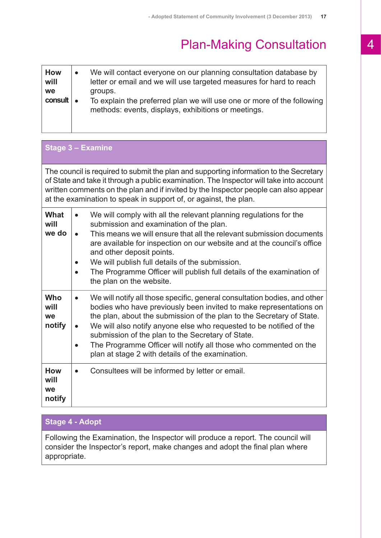| <b>How</b><br>will<br>we | $\bullet$ | We will contact everyone on our planning consultation database by<br>letter or email and we will use targeted measures for hard to reach<br>groups. |
|--------------------------|-----------|-----------------------------------------------------------------------------------------------------------------------------------------------------|
| $const \cdot$            |           | To explain the preferred plan we will use one or more of the following<br>methods: events, displays, exhibitions or meetings.                       |

| Stage 3 - Examine                  |                                                                                                                                                                                                                                                                                                                                                                                                                                                                                           |  |  |  |  |
|------------------------------------|-------------------------------------------------------------------------------------------------------------------------------------------------------------------------------------------------------------------------------------------------------------------------------------------------------------------------------------------------------------------------------------------------------------------------------------------------------------------------------------------|--|--|--|--|
|                                    | The council is required to submit the plan and supporting information to the Secretary<br>of State and take it through a public examination. The Inspector will take into account<br>written comments on the plan and if invited by the Inspector people can also appear<br>at the examination to speak in support of, or against, the plan.                                                                                                                                              |  |  |  |  |
| What<br>will<br>we do              | We will comply with all the relevant planning regulations for the<br>$\bullet$<br>submission and examination of the plan.<br>This means we will ensure that all the relevant submission documents<br>$\bullet$<br>are available for inspection on our website and at the council's office<br>and other deposit points.<br>We will publish full details of the submission.<br>The Programme Officer will publish full details of the examination of<br>the plan on the website.            |  |  |  |  |
| <b>Who</b><br>will<br>we<br>notify | We will notify all those specific, general consultation bodies, and other<br>$\bullet$<br>bodies who have previously been invited to make representations on<br>the plan, about the submission of the plan to the Secretary of State.<br>We will also notify anyone else who requested to be notified of the<br>submission of the plan to the Secretary of State.<br>The Programme Officer will notify all those who commented on the<br>plan at stage 2 with details of the examination. |  |  |  |  |
| <b>How</b><br>will<br>we<br>notify | Consultees will be informed by letter or email.                                                                                                                                                                                                                                                                                                                                                                                                                                           |  |  |  |  |

### **Stage 4 - Adopt**

Following the Examination, the Inspector will produce a report. The council will consider the Inspector's report, make changes and adopt the final plan where appropriate.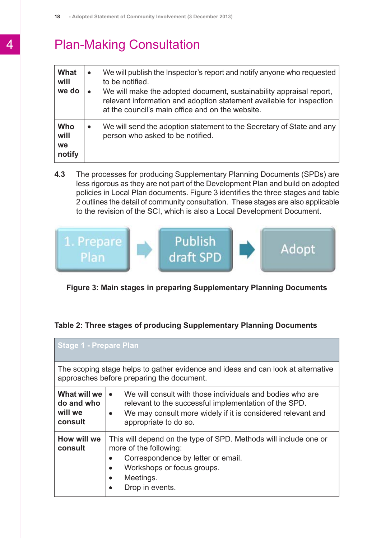| What<br>will<br>we do       | $\bullet$ | We will publish the Inspector's report and notify anyone who requested<br>to be notified.<br>We will make the adopted document, sustainability appraisal report,<br>relevant information and adoption statement available for inspection<br>at the council's main office and on the website. |
|-----------------------------|-----------|----------------------------------------------------------------------------------------------------------------------------------------------------------------------------------------------------------------------------------------------------------------------------------------------|
| Who<br>will<br>we<br>notify | $\bullet$ | We will send the adoption statement to the Secretary of State and any<br>person who asked to be notified.                                                                                                                                                                                    |

**4.3** The processes for producing Supplementary Planning Documents (SPDs) are less rigorous as they are not part of the Development Plan and build on adopted policies in Local Plan documents. Figure 3 identifies the three stages and table 2 outlines the detail of community consultation. These stages are also applicable to the revision of the SCI, which is also a Local Development Document.



#### **Figure 3: Main stages in preparing Supplementary Planning Documents**

#### **Table 2: Three stages of producing Supplementary Planning Documents**

| <b>Stage 1 - Prepare Plan</b>                                                                                                                                                                                                         |                                                                                                                                                                                                                                      |  |  |  |  |  |
|---------------------------------------------------------------------------------------------------------------------------------------------------------------------------------------------------------------------------------------|--------------------------------------------------------------------------------------------------------------------------------------------------------------------------------------------------------------------------------------|--|--|--|--|--|
| The scoping stage helps to gather evidence and ideas and can look at alternative<br>approaches before preparing the document.                                                                                                         |                                                                                                                                                                                                                                      |  |  |  |  |  |
| What will we<br>do and who<br>will we<br>consult                                                                                                                                                                                      | We will consult with those individuals and bodies who are<br>$\bullet$<br>relevant to the successful implementation of the SPD.<br>We may consult more widely if it is considered relevant and<br>$\bullet$<br>appropriate to do so. |  |  |  |  |  |
| How will we<br>This will depend on the type of SPD. Methods will include one or<br>more of the following:<br>consult<br>Correspondence by letter or email.<br>Workshops or focus groups.<br>Meetings.<br>$\bullet$<br>Drop in events. |                                                                                                                                                                                                                                      |  |  |  |  |  |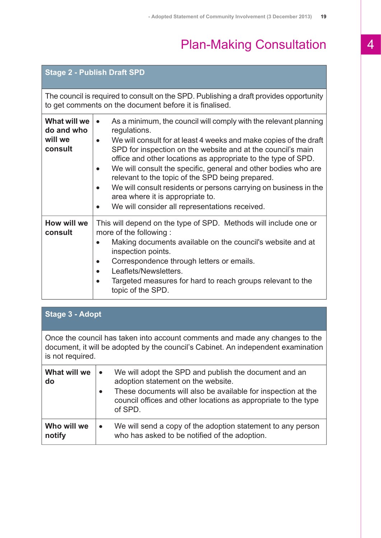### **Stage 2 - Publish Draft SPD**

The council is required to consult on the SPD. Publishing a draft provides opportunity to get comments on the document before it is finalised.

| What will we<br>do and who<br>will we<br>consult | As a minimum, the council will comply with the relevant planning<br>$\bullet$<br>regulations.<br>We will consult for at least 4 weeks and make copies of the draft<br>$\bullet$<br>SPD for inspection on the website and at the council's main<br>office and other locations as appropriate to the type of SPD.<br>We will consult the specific, general and other bodies who are<br>relevant to the topic of the SPD being prepared.<br>We will consult residents or persons carrying on business in the<br>area where it is appropriate to.<br>We will consider all representations received. |
|--------------------------------------------------|-------------------------------------------------------------------------------------------------------------------------------------------------------------------------------------------------------------------------------------------------------------------------------------------------------------------------------------------------------------------------------------------------------------------------------------------------------------------------------------------------------------------------------------------------------------------------------------------------|
| How will we<br>consult                           | This will depend on the type of SPD. Methods will include one or<br>more of the following:<br>Making documents available on the council's website and at<br>inspection points.<br>Correspondence through letters or emails.<br>Leaflets/Newsletters.<br>Targeted measures for hard to reach groups relevant to the<br>topic of the SPD.                                                                                                                                                                                                                                                         |

| Stage 3 - Adopt                                                                                                                                                                       |           |                                                                                                                                                                                         |  |  |
|---------------------------------------------------------------------------------------------------------------------------------------------------------------------------------------|-----------|-----------------------------------------------------------------------------------------------------------------------------------------------------------------------------------------|--|--|
| Once the council has taken into account comments and made any changes to the<br>document, it will be adopted by the council's Cabinet. An independent examination<br>is not required. |           |                                                                                                                                                                                         |  |  |
| What will we<br>$\bullet$<br>adoption statement on the website.<br>do<br>$\bullet$<br>of SPD.                                                                                         |           | We will adopt the SPD and publish the document and an<br>These documents will also be available for inspection at the<br>council offices and other locations as appropriate to the type |  |  |
| Who will we<br>notify                                                                                                                                                                 | $\bullet$ | We will send a copy of the adoption statement to any person<br>who has asked to be notified of the adoption.                                                                            |  |  |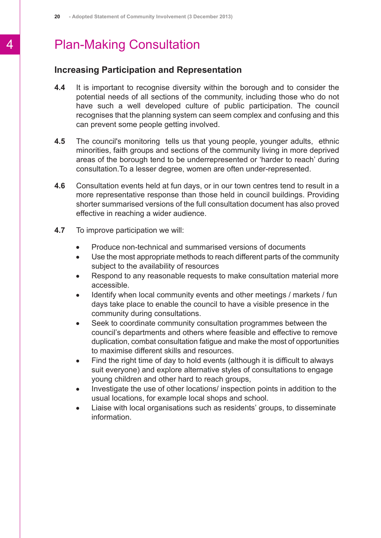#### **Increasing Participation and Representation**

- **4.4** It is important to recognise diversity within the borough and to consider the potential needs of all sections of the community, including those who do not have such a well developed culture of public participation. The council recognises that the planning system can seem complex and confusing and this can prevent some people getting involved.
- **4.5** The council's monitoring tells us that young people, younger adults, ethnic minorities, faith groups and sections of the community living in more deprived areas of the borough tend to be underrepresented or 'harder to reach' during consultation.To a lesser degree, women are often under-represented.
- **4.6** Consultation events held at fun days, or in our town centres tend to result in a more representative response than those held in council buildings. Providing shorter summarised versions of the full consultation document has also proved effective in reaching a wider audience.
- **4.7** To improve participation we will:
	- Produce non-technical and summarised versions of documents  $\bullet$
	- $\bullet$ Use the most appropriate methods to reach different parts of the community subject to the availability of resources
	- Respond to any reasonable requests to make consultation material more  $\bullet$ accessible.
	- Identify when local community events and other meetings / markets / fun  $\bullet$ days take place to enable the council to have a visible presence in the community during consultations.
	- Seek to coordinate community consultation programmes between the  $\bullet$ council's departments and others where feasible and effective to remove duplication, combat consultation fatigue and make the most of opportunities to maximise different skills and resources.
	- Find the right time of day to hold events (although it is difficult to always  $\bullet$ suit everyone) and explore alternative styles of consultations to engage young children and other hard to reach groups,
	- Investigate the use of other locations/ inspection points in addition to the  $\bullet$ usual locations, for example local shops and school.
	- Liaise with local organisations such as residents' groups, to disseminate  $\bullet$ information.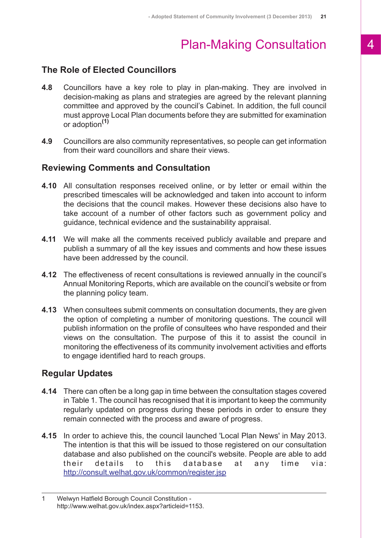#### **The Role of Elected Councillors**

- **4.8** Councillors have a key role to play in plan-making. They are involved in decision-making as plans and strategies are agreed by the relevant planning committee and approved by the council's Cabinet. In addition, the full council must approve Local Plan documents before they are submitted for examination or adoption**(1)**
- **4.9** Councillors are also community representatives, so people can get information from their ward councillors and share their views.

#### **Reviewing Comments and Consultation**

- **4.10** All consultation responses received online, or by letter or email within the prescribed timescales will be acknowledged and taken into account to inform the decisions that the council makes. However these decisions also have to take account of a number of other factors such as government policy and guidance, technical evidence and the sustainability appraisal.
- **4.11** We will make all the comments received publicly available and prepare and publish a summary of all the key issues and comments and how these issues have been addressed by the council.
- **4.12** The effectiveness of recent consultations is reviewed annually in the council's Annual Monitoring Reports, which are available on the council's website or from the planning policy team.
- **4.13** When consultees submit comments on consultation documents, they are given the option of completing a number of monitoring questions. The council will publish information on the profile of consultees who have responded and their views on the consultation. The purpose of this it to assist the council in monitoring the effectiveness of its community involvement activities and efforts to engage identified hard to reach groups.

#### **Regular Updates**

- **4.14** There can often be a long gap in time between the consultation stages covered in Table 1. The council has recognised that it is important to keep the community regularly updated on progress during these periods in order to ensure they remain connected with the process and aware of progress.
- **4.15** In order to achieve this, the council launched 'Local Plan News' in May 2013. The intention is that this will be issued to those registered on our consultation database and also published on the council's website. People are able to add their details to this database at any time via: [http://consult.welhat.gov.uk/common/register.jsp](http:// http://consult.welhat.gov.uk/common/register.jsp)

<sup>1</sup> Welwyn Hatfield Borough Council Constitution http://www.welhat.gov.uk/index.aspx?articleid=1153.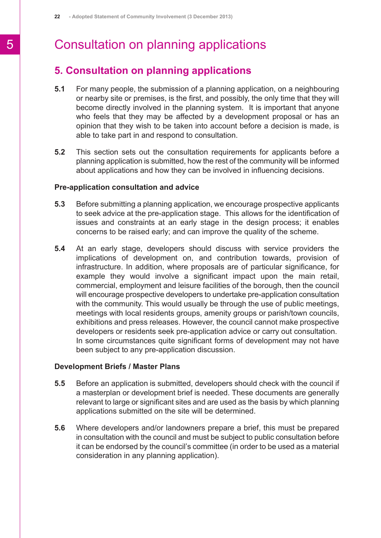### <span id="page-22-0"></span>**5. Consultation on planning applications**

- **5.1** For many people, the submission of a planning application, on a neighbouring or nearby site or premises, is the first, and possibly, the only time that they will become directly involved in the planning system. It is important that anyone who feels that they may be affected by a development proposal or has an opinion that they wish to be taken into account before a decision is made, is able to take part in and respond to consultation.
- **5.2** This section sets out the consultation requirements for applicants before a planning application is submitted, how the rest of the community will be informed about applications and how they can be involved in influencing decisions.

#### **Pre-application consultation and advice**

- **5.3** Before submitting a planning application, we encourage prospective applicants to seek advice at the pre-application stage. This allows for the identification of issues and constraints at an early stage in the design process; it enables concerns to be raised early; and can improve the quality of the scheme.
- **5.4** At an early stage, developers should discuss with service providers the implications of development on, and contribution towards, provision of infrastructure. In addition, where proposals are of particular significance, for example they would involve a significant impact upon the main retail, commercial, employment and leisure facilities of the borough, then the council will encourage prospective developers to undertake pre-application consultation with the community. This would usually be through the use of public meetings, meetings with local residents groups, amenity groups or parish/town councils, exhibitions and press releases. However, the council cannot make prospective developers or residents seek pre-application advice or carry out consultation. In some circumstances quite significant forms of development may not have been subject to any pre-application discussion.

#### **Development Briefs / Master Plans**

- **5.5** Before an application is submitted, developers should check with the council if a masterplan or development brief is needed. These documents are generally relevant to large or significant sites and are used as the basis by which planning applications submitted on the site will be determined.
- **5.6** Where developers and/or landowners prepare a brief, this must be prepared in consultation with the council and must be subject to public consultation before it can be endorsed by the council's committee (in order to be used as a material consideration in any planning application).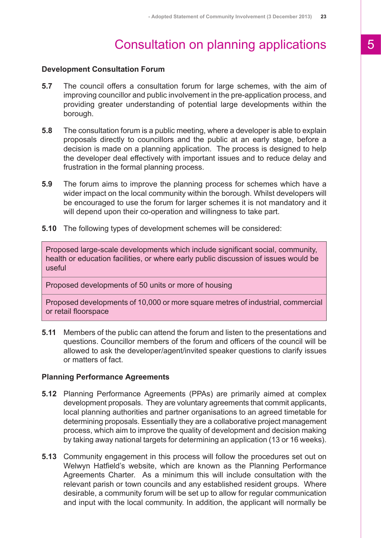#### **Development Consultation Forum**

- **5.7** The council offers a consultation forum for large schemes, with the aim of improving councillor and public involvement in the pre-application process, and providing greater understanding of potential large developments within the borough.
- **5.8** The consultation forum is a public meeting, where a developer is able to explain proposals directly to councillors and the public at an early stage, before a decision is made on a planning application. The process is designed to help the developer deal effectively with important issues and to reduce delay and frustration in the formal planning process.
- **5.9** The forum aims to improve the planning process for schemes which have a wider impact on the local community within the borough. Whilst developers will be encouraged to use the forum for larger schemes it is not mandatory and it will depend upon their co-operation and willingness to take part.
- **5.10** The following types of development schemes will be considered:

Proposed large-scale developments which include significant social, community, health or education facilities, or where early public discussion of issues would be useful

Proposed developments of 50 units or more of housing

Proposed developments of 10,000 or more square metres of industrial, commercial or retail floorspace

**5.11** Members of the public can attend the forum and listen to the presentations and questions. Councillor members of the forum and officers of the council will be allowed to ask the developer/agent/invited speaker questions to clarify issues or matters of fact.

#### **Planning Performance Agreements**

- **5.12** Planning Performance Agreements (PPAs) are primarily aimed at complex development proposals. They are voluntary agreements that commit applicants, local planning authorities and partner organisations to an agreed timetable for determining proposals. Essentially they are a collaborative project management process, which aim to improve the quality of development and decision making by taking away national targets for determining an application (13 or 16 weeks).
- **5.13** Community engagement in this process will follow the procedures set out on Welwyn Hatfield's website, which are known as the Planning Performance Agreements Charter. As a minimum this will include consultation with the relevant parish or town councils and any established resident groups. Where desirable, a community forum will be set up to allow for regular communication and input with the local community. In addition, the applicant will normally be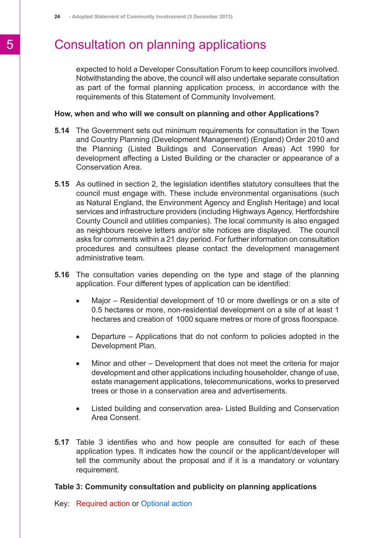expected to hold a Developer Consultation Forum to keep councillors involved. Notwithstanding the above, the council will also undertake separate consultation as part of the formal planning application process, in accordance with the requirements of this Statement of Community Involvement.

#### **How, when and who will we consult on planning and other Applications?**

- **5.14** The Government sets out minimum requirements for consultation in the Town and Country Planning (Development Management) (England) Order 2010 and the Planning (Listed Buildings and Conservation Areas) Act 1990 for development affecting a Listed Building or the character or appearance of a Conservation Area.
- **5.15** As outlined in section 2, the legislation identifies statutory consultees that the council must engage with. These include environmental organisations (such as Natural England, the Environment Agency and English Heritage) and local services and infrastructure providers (including Highways Agency, Hertfordshire County Council and utilities companies). The local community is also engaged as neighbours receive letters and/or site notices are displayed. The council asks for comments within a 21 day period. For further information on consultation procedures and consultees please contact the development management administrative team.
- **5.16** The consultation varies depending on the type and stage of the planning application. Four different types of application can be identified:
	- Major Residential development of 10 or more dwellings or on a site of  $\bullet$ 0.5 hectares or more, non-residential development on a site of at least 1 hectares and creation of 1000 square metres or more of gross floorspace.
	- Departure Applications that do not conform to policies adopted in the  $\bullet$ Development Plan.
	- Minor and other Development that does not meet the criteria for major  $\bullet$ development and other applications including householder, change of use, estate management applications, telecommunications, works to preserved trees or those in a conservation area and advertisements.
	- Listed building and conservation area- Listed Building and Conservation  $\bullet$ Area Consent.
- **5.17** Table 3 identifies who and how people are consulted for each of these application types. It indicates how the council or the applicant/developer will tell the community about the proposal and if it is a mandatory or voluntary requirement.

#### **Table 3: Community consultation and publicity on planning applications**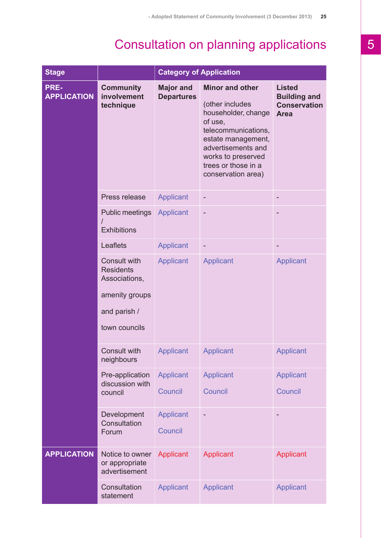| <b>Stage</b>               |                                                                                                             | <b>Category of Application</b>        |                                                                                                                                                                                                                   |                                                                            |  |
|----------------------------|-------------------------------------------------------------------------------------------------------------|---------------------------------------|-------------------------------------------------------------------------------------------------------------------------------------------------------------------------------------------------------------------|----------------------------------------------------------------------------|--|
| PRE-<br><b>APPLICATION</b> | <b>Community</b><br>involvement<br>technique                                                                | <b>Major and</b><br><b>Departures</b> | <b>Minor and other</b><br>(other includes<br>householder, change<br>of use,<br>telecommunications,<br>estate management,<br>advertisements and<br>works to preserved<br>trees or those in a<br>conservation area) | <b>Listed</b><br><b>Building and</b><br><b>Conservation</b><br><b>Area</b> |  |
|                            | Press release                                                                                               | <b>Applicant</b>                      | $\overline{a}$                                                                                                                                                                                                    |                                                                            |  |
|                            | <b>Public meetings</b><br><b>Exhibitions</b>                                                                | <b>Applicant</b>                      | $\overline{a}$                                                                                                                                                                                                    |                                                                            |  |
|                            | Leaflets                                                                                                    | <b>Applicant</b>                      |                                                                                                                                                                                                                   |                                                                            |  |
|                            | <b>Consult with</b><br><b>Residents</b><br>Associations,<br>amenity groups<br>and parish /<br>town councils | <b>Applicant</b>                      | Applicant                                                                                                                                                                                                         | Applicant                                                                  |  |
|                            | Consult with<br>neighbours                                                                                  | <b>Applicant</b>                      | <b>Applicant</b>                                                                                                                                                                                                  | <b>Applicant</b>                                                           |  |
|                            | Pre-application<br>discussion with<br>council                                                               | <b>Applicant</b><br>Council           | Applicant<br>Council                                                                                                                                                                                              | <b>Applicant</b><br>Council                                                |  |
|                            | Development<br>Consultation<br>Forum                                                                        | <b>Applicant</b><br>Council           | $\overline{a}$                                                                                                                                                                                                    |                                                                            |  |
| <b>APPLICATION</b>         | Notice to owner<br>or appropriate<br>advertisement                                                          | Applicant                             | Applicant                                                                                                                                                                                                         | Applicant                                                                  |  |
|                            | Consultation<br>statement                                                                                   | <b>Applicant</b>                      | <b>Applicant</b>                                                                                                                                                                                                  | Applicant                                                                  |  |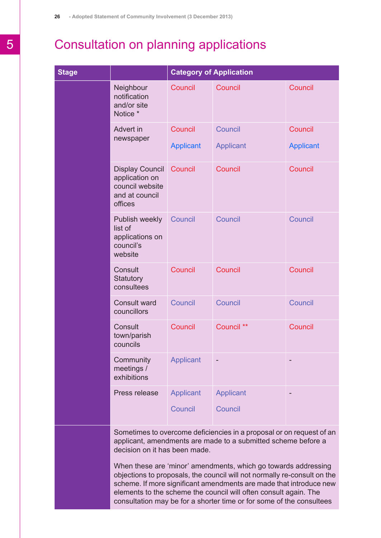| <b>Stage</b> |                                                                                          | <b>Category of Application</b> |                             |                             |
|--------------|------------------------------------------------------------------------------------------|--------------------------------|-----------------------------|-----------------------------|
|              | Neighbour<br>notification<br>and/or site<br>Notice *                                     | Council                        | Council                     | Council                     |
|              | Advert in<br>newspaper                                                                   | Council<br><b>Applicant</b>    | Council<br><b>Applicant</b> | Council<br><b>Applicant</b> |
|              | <b>Display Council</b><br>application on<br>council website<br>and at council<br>offices | Council                        | Council                     | Council                     |
|              | Publish weekly<br>list of<br>applications on<br>council's<br>website                     | Council                        | Council                     | Council                     |
|              | Consult<br>Statutory<br>consultees                                                       | Council                        | Council                     | Council                     |
|              | <b>Consult ward</b><br>councillors                                                       | Council                        | Council                     | Council                     |
|              | Consult<br>town/parish<br>councils                                                       | Council                        | Council **                  | Council                     |
|              | Community<br>meetings /<br>exhibitions                                                   | <b>Applicant</b>               |                             |                             |
|              | Press release                                                                            | Applicant<br>Council           | Applicant<br>Council        |                             |

Sometimes to overcome deficiencies in a proposal or on request of an applicant, amendments are made to a submitted scheme before a decision on it has been made.

When these are 'minor' amendments, which go towards addressing objections to proposals, the council will not normally re-consult on the scheme. If more significant amendments are made that introduce new elements to the scheme the council will often consult again. The consultation may be for a shorter time or for some of the consultees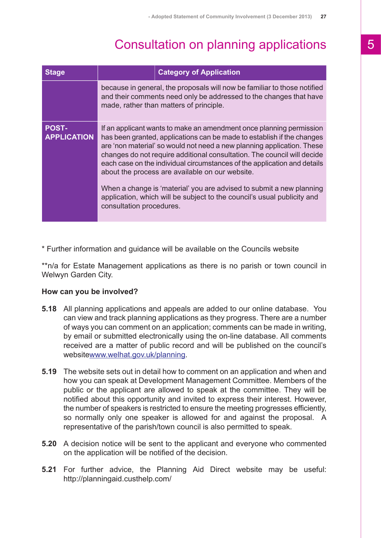| <b>Stage</b>                       | <b>Category of Application</b>                                                                                                                                                                                                                                                                                                                                                                                                                                                                                                                                                                                   |  |
|------------------------------------|------------------------------------------------------------------------------------------------------------------------------------------------------------------------------------------------------------------------------------------------------------------------------------------------------------------------------------------------------------------------------------------------------------------------------------------------------------------------------------------------------------------------------------------------------------------------------------------------------------------|--|
|                                    | because in general, the proposals will now be familiar to those notified<br>and their comments need only be addressed to the changes that have<br>made, rather than matters of principle.                                                                                                                                                                                                                                                                                                                                                                                                                        |  |
| <b>POST-</b><br><b>APPLICATION</b> | If an applicant wants to make an amendment once planning permission<br>has been granted, applications can be made to establish if the changes<br>are 'non material' so would not need a new planning application. These<br>changes do not require additional consultation. The council will decide<br>each case on the individual circumstances of the application and details<br>about the process are available on our website.<br>When a change is 'material' you are advised to submit a new planning<br>application, which will be subject to the council's usual publicity and<br>consultation procedures. |  |

\* Further information and guidance will be available on the Councils website

\*\*n/a for Estate Management applications as there is no parish or town council in Welwyn Garden City.

#### **How can you be involved?**

- **5.18** All planning applications and appeals are added to our online database. You can view and track planning applications as they progress. There are a number of ways you can comment on an application; comments can be made in writing, by email or submitted electronically using the on-line database. All comments received are a matter of public record and will be published on the council's website[www.welhat.gov.uk/planning.](http://www.welhat.gov.uk/planning)
- **5.19** The website sets out in detail how to comment on an application and when and how you can speak at Development Management Committee. Members of the public or the applicant are allowed to speak at the committee. They will be notified about this opportunity and invited to express their interest. However, the number of speakers is restricted to ensure the meeting progresses efficiently, so normally only one speaker is allowed for and against the proposal. A representative of the parish/town council is also permitted to speak.
- **5.20** A decision notice will be sent to the applicant and everyone who commented on the application will be notified of the decision.
- **5.21** For further advice, the Planning Aid Direct website may be useful: http://planningaid.custhelp.com/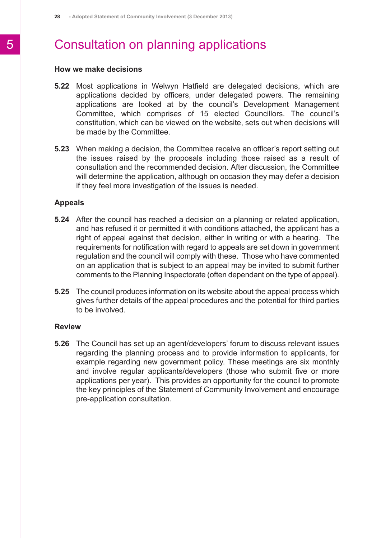#### **How we make decisions**

- **5.22** Most applications in Welwyn Hatfield are delegated decisions, which are applications decided by officers, under delegated powers. The remaining applications are looked at by the council's Development Management Committee, which comprises of 15 elected Councillors. The council's constitution, which can be viewed on the website, sets out when decisions will be made by the Committee.
- **5.23** When making a decision, the Committee receive an officer's report setting out the issues raised by the proposals including those raised as a result of consultation and the recommended decision. After discussion, the Committee will determine the application, although on occasion they may defer a decision if they feel more investigation of the issues is needed.

#### **Appeals**

- **5.24** After the council has reached a decision on a planning or related application, and has refused it or permitted it with conditions attached, the applicant has a right of appeal against that decision, either in writing or with a hearing. The requirements for notification with regard to appeals are set down in government regulation and the council will comply with these. Those who have commented on an application that is subject to an appeal may be invited to submit further comments to the Planning Inspectorate (often dependant on the type of appeal).
- **5.25** The council produces information on its website about the appeal process which gives further details of the appeal procedures and the potential for third parties to be involved.

#### **Review**

**5.26** The Council has set up an agent/developers' forum to discuss relevant issues regarding the planning process and to provide information to applicants, for example regarding new government policy. These meetings are six monthly and involve regular applicants/developers (those who submit five or more applications per year). This provides an opportunity for the council to promote the key principles of the Statement of Community Involvement and encourage pre-application consultation.